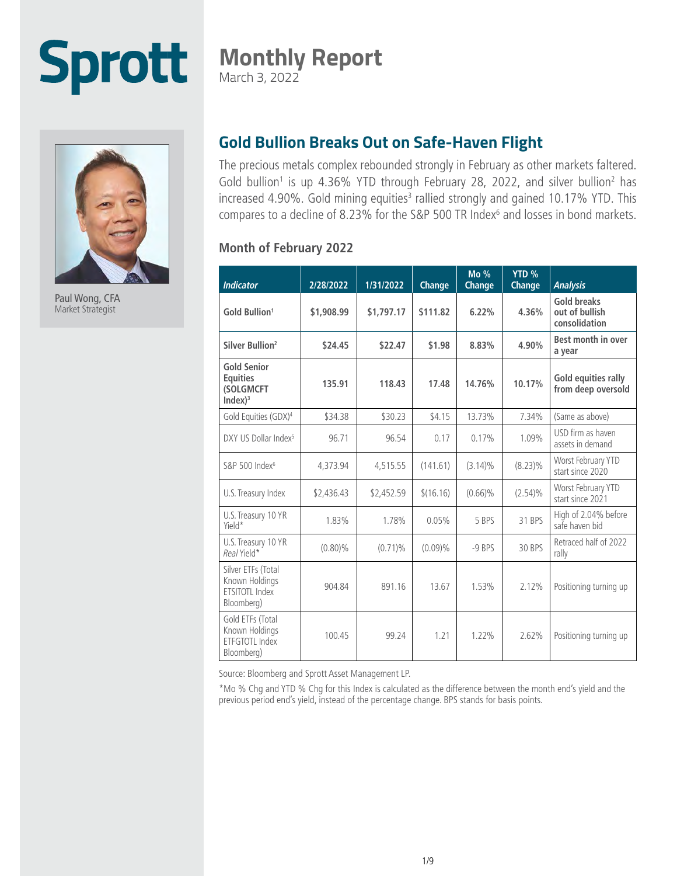# **Sprott**

### **Monthly Report**

March 3, 2022



Paul Wong, CFA Market Strategist

#### **Gold Bullion Breaks Out on Safe-Haven Flight**

The precious metals complex rebounded strongly in February as other markets faltered. Gold bullion<sup>1</sup> is up 4.36% YTD through February 28, 2022, and silver bullion<sup>2</sup> has increased 4.90%. Gold mining equities<sup>3</sup> rallied strongly and gained 10.17% YTD. This compares to a decline of 8.23% for the S&P 500 TR Index<sup>6</sup> and losses in bond markets.

#### **Month of February 2022**

| <b>Indicator</b>                                                          | 2/28/2022  | 1/31/2022  | Change    | Mo %<br>Change | YTD %<br>Change | <b>Analysis</b>                                       |
|---------------------------------------------------------------------------|------------|------------|-----------|----------------|-----------------|-------------------------------------------------------|
| Gold Bullion <sup>1</sup>                                                 | \$1,908.99 | \$1,797.17 | \$111.82  | 6.22%          | 4.36%           | <b>Gold breaks</b><br>out of bullish<br>consolidation |
| Silver Bullion <sup>2</sup>                                               | \$24.45    | \$22.47    | \$1.98    | 8.83%          | 4.90%           | Best month in over<br>a year                          |
| <b>Gold Senior</b><br><b>Equities</b><br>(SOLGMCFT<br>Index) <sup>3</sup> | 135.91     | 118.43     | 17.48     | 14.76%         | 10.17%          | Gold equities rally<br>from deep oversold             |
| Gold Equities (GDX) <sup>4</sup>                                          | \$34.38    | \$30.23    | \$4.15    | 13.73%         | 7.34%           | (Same as above)                                       |
| DXY US Dollar Index <sup>5</sup>                                          | 96.71      | 96.54      | 0.17      | 0.17%          | 1.09%           | USD firm as haven<br>assets in demand                 |
| S&P 500 Index <sup>6</sup>                                                | 4,373.94   | 4,515.55   | (141.61)  | $(3.14)\%$     | $(8.23)\%$      | Worst February YTD<br>start since 2020                |
| U.S. Treasury Index                                                       | \$2,436.43 | \$2,452.59 | \$(16.16) | $(0.66)\%$     | $(2.54)\%$      | Worst February YTD<br>start since 2021                |
| U.S. Treasury 10 YR<br>Yield*                                             | 1.83%      | 1.78%      | 0.05%     | 5 BPS          | 31 BPS          | High of 2.04% before<br>safe haven bid                |
| U.S. Treasury 10 YR<br>Real Yield*                                        | $(0.80)\%$ | $(0.71)\%$ | (0.09)%   | -9 BPS         | 30 BPS          | Retraced half of 2022<br>rally                        |
| Silver ETFs (Total<br>Known Holdings<br>ETSITOTL Index<br>Bloomberg)      | 904.84     | 891.16     | 13.67     | 1.53%          | 2.12%           | Positioning turning up                                |
| Gold ETFs (Total<br>Known Holdings<br><b>ETFGTOTL Index</b><br>Bloomberg) | 100.45     | 99.24      | 1.21      | 1.22%          | 2.62%           | Positioning turning up                                |

Source: Bloomberg and Sprott Asset Management LP.

\*Mo % Chg and YTD % Chg for this Index is calculated as the difference between the month end's yield and the previous period end's yield, instead of the percentage change. BPS stands for basis points.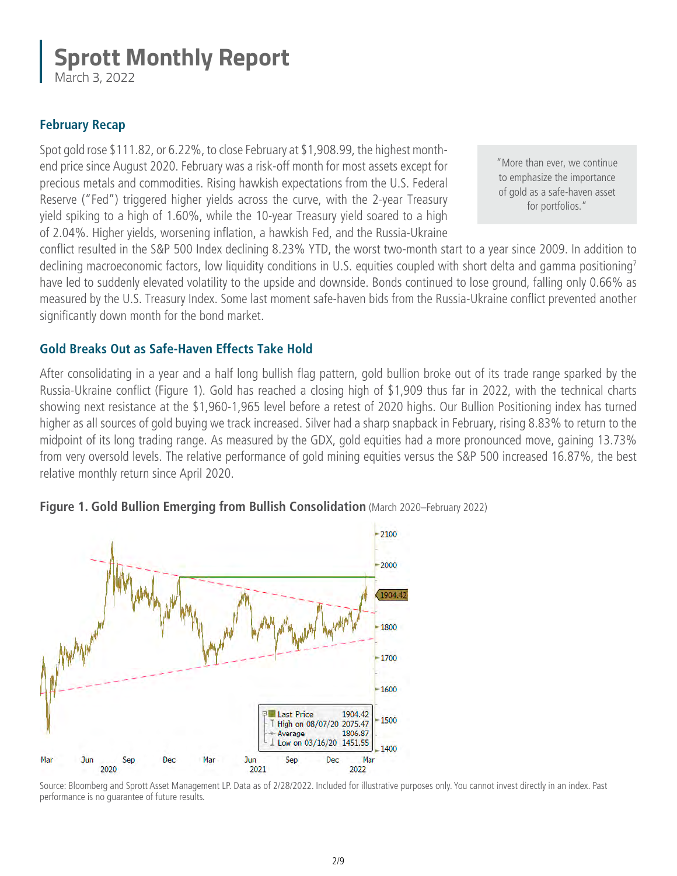March 3, 2022

#### **February Recap**

Spot gold rose \$111.82, or 6.22%, to close February at \$1,908.99, the highest monthend price since August 2020. February was a risk-off month for most assets except for precious metals and commodities. Rising hawkish expectations from the U.S. Federal Reserve ("Fed") triggered higher yields across the curve, with the 2-year Treasury yield spiking to a high of 1.60%, while the 10-year Treasury yield soared to a high of 2.04%. Higher yields, worsening inflation, a hawkish Fed, and the Russia-Ukraine

"More than ever, we continue to emphasize the importance of gold as a safe-haven asset for portfolios."

conflict resulted in the S&P 500 Index declining 8.23% YTD, the worst two-month start to a year since 2009. In addition to declining macroeconomic factors, low liquidity conditions in U.S. equities coupled with short delta and gamma positioning7 have led to suddenly elevated volatility to the upside and downside. Bonds continued to lose ground, falling only 0.66% as measured by the U.S. Treasury Index. Some last moment safe-haven bids from the Russia-Ukraine conflict prevented another significantly down month for the bond market.

#### **Gold Breaks Out as Safe-Haven Effects Take Hold**

After consolidating in a year and a half long bullish flag pattern, gold bullion broke out of its trade range sparked by the Russia-Ukraine conflict (Figure 1). Gold has reached a closing high of \$1,909 thus far in 2022, with the technical charts showing next resistance at the \$1,960-1,965 level before a retest of 2020 highs. Our Bullion Positioning index has turned higher as all sources of gold buying we track increased. Silver had a sharp snapback in February, rising 8.83% to return to the midpoint of its long trading range. As measured by the GDX, gold equities had a more pronounced move, gaining 13.73% from very oversold levels. The relative performance of gold mining equities versus the S&P 500 increased 16.87%, the best relative monthly return since April 2020.



#### **Figure 1. Gold Bullion Emerging from Bullish Consolidation** (March 2020–February 2022)

Source: Bloomberg and Sprott Asset Management LP. Data as of 2/28/2022. Included for illustrative purposes only. You cannot invest directly in an index. Past performance is no guarantee of future results.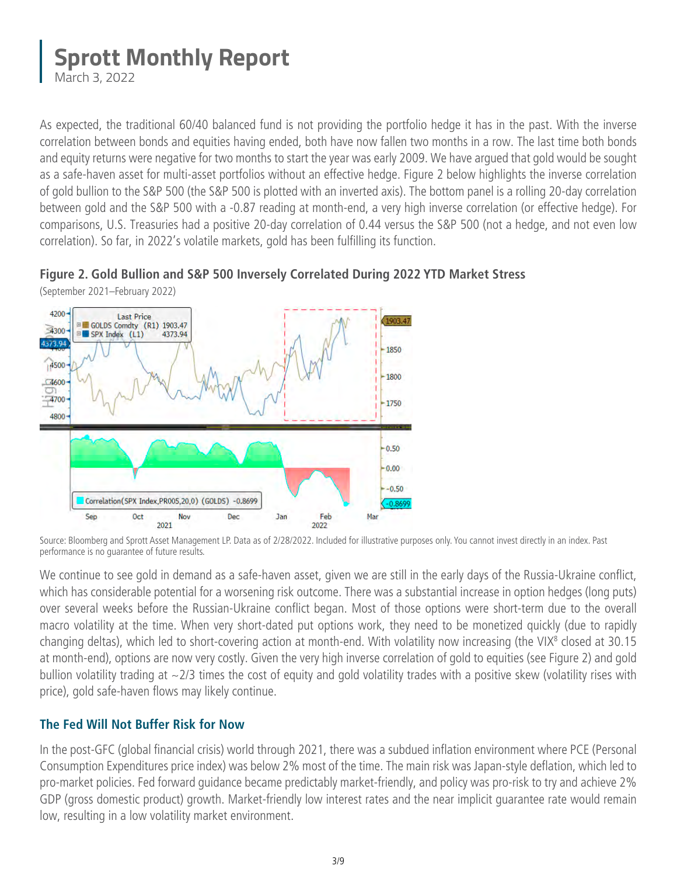March 3, 2022

As expected, the traditional 60/40 balanced fund is not providing the portfolio hedge it has in the past. With the inverse correlation between bonds and equities having ended, both have now fallen two months in a row. The last time both bonds and equity returns were negative for two months to start the year was early 2009. We have argued that gold would be sought as a safe-haven asset for multi-asset portfolios without an effective hedge. Figure 2 below highlights the inverse correlation of gold bullion to the S&P 500 (the S&P 500 is plotted with an inverted axis). The bottom panel is a rolling 20-day correlation between gold and the S&P 500 with a -0.87 reading at month-end, a very high inverse correlation (or effective hedge). For comparisons, U.S. Treasuries had a positive 20-day correlation of 0.44 versus the S&P 500 (not a hedge, and not even low correlation). So far, in 2022's volatile markets, gold has been fulfilling its function.

### **Figure 2. Gold Bullion and S&P 500 Inversely Correlated During 2022 YTD Market Stress**



(September 2021–February 2022)

We continue to see gold in demand as a safe-haven asset, given we are still in the early days of the Russia-Ukraine conflict, which has considerable potential for a worsening risk outcome. There was a substantial increase in option hedges (long puts) over several weeks before the Russian-Ukraine conflict began. Most of those options were short-term due to the overall macro volatility at the time. When very short-dated put options work, they need to be monetized quickly (due to rapidly changing deltas), which led to short-covering action at month-end. With volatility now increasing (the VIX<sup>8</sup> closed at 30.15 at month-end), options are now very costly. Given the very high inverse correlation of gold to equities (see Figure 2) and gold bullion volatility trading at  $\sim$ 2/3 times the cost of equity and gold volatility trades with a positive skew (volatility rises with price), gold safe-haven flows may likely continue.

#### **The Fed Will Not Buffer Risk for Now**

In the post-GFC (global financial crisis) world through 2021, there was a subdued inflation environment where PCE (Personal Consumption Expenditures price index) was below 2% most of the time. The main risk was Japan-style deflation, which led to pro-market policies. Fed forward guidance became predictably market-friendly, and policy was pro-risk to try and achieve 2% GDP (gross domestic product) growth. Market-friendly low interest rates and the near implicit guarantee rate would remain low, resulting in a low volatility market environment.

Source: Bloomberg and Sprott Asset Management LP. Data as of 2/28/2022. Included for illustrative purposes only. You cannot invest directly in an index. Past performance is no guarantee of future results.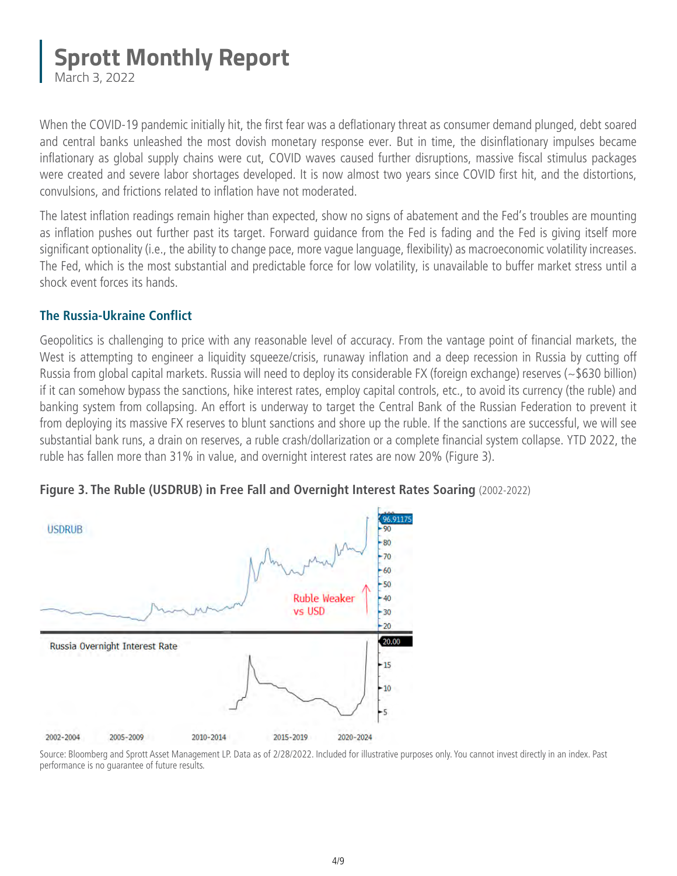March 3, 2022

When the COVID-19 pandemic initially hit, the first fear was a deflationary threat as consumer demand plunged, debt soared and central banks unleashed the most dovish monetary response ever. But in time, the disinflationary impulses became inflationary as global supply chains were cut, COVID waves caused further disruptions, massive fiscal stimulus packages were created and severe labor shortages developed. It is now almost two years since COVID first hit, and the distortions, convulsions, and frictions related to inflation have not moderated.

The latest inflation readings remain higher than expected, show no signs of abatement and the Fed's troubles are mounting as inflation pushes out further past its target. Forward guidance from the Fed is fading and the Fed is giving itself more significant optionality (i.e., the ability to change pace, more vague language, flexibility) as macroeconomic volatility increases. The Fed, which is the most substantial and predictable force for low volatility, is unavailable to buffer market stress until a shock event forces its hands.

#### **The Russia-Ukraine Conflict**

Geopolitics is challenging to price with any reasonable level of accuracy. From the vantage point of financial markets, the West is attempting to engineer a liquidity squeeze/crisis, runaway inflation and a deep recession in Russia by cutting off Russia from global capital markets. Russia will need to deploy its considerable FX (foreign exchange) reserves (~\$630 billion) if it can somehow bypass the sanctions, hike interest rates, employ capital controls, etc., to avoid its currency (the ruble) and banking system from collapsing. An effort is underway to target the Central Bank of the Russian Federation to prevent it from deploying its massive FX reserves to blunt sanctions and shore up the ruble. If the sanctions are successful, we will see substantial bank runs, a drain on reserves, a ruble crash/dollarization or a complete financial system collapse. YTD 2022, the ruble has fallen more than 31% in value, and overnight interest rates are now 20% (Figure 3).



**Figure 3. The Ruble (USDRUB) in Free Fall and Overnight Interest Rates Soaring** (2002-2022)

Source: Bloomberg and Sprott Asset Management LP. Data as of 2/28/2022. Included for illustrative purposes only. You cannot invest directly in an index. Past performance is no guarantee of future results.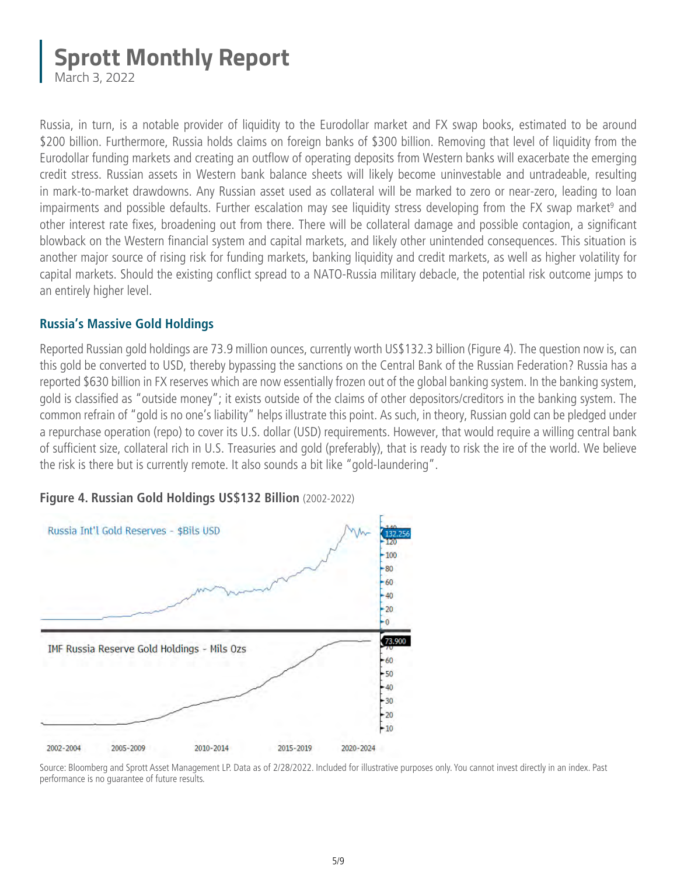March 3, 2022

Russia, in turn, is a notable provider of liquidity to the Eurodollar market and FX swap books, estimated to be around \$200 billion. Furthermore, Russia holds claims on foreign banks of \$300 billion. Removing that level of liquidity from the Eurodollar funding markets and creating an outflow of operating deposits from Western banks will exacerbate the emerging credit stress. Russian assets in Western bank balance sheets will likely become uninvestable and untradeable, resulting in mark-to-market drawdowns. Any Russian asset used as collateral will be marked to zero or near-zero, leading to loan impairments and possible defaults. Further escalation may see liquidity stress developing from the FX swap market<sup>9</sup> and other interest rate fixes, broadening out from there. There will be collateral damage and possible contagion, a significant blowback on the Western financial system and capital markets, and likely other unintended consequences. This situation is another major source of rising risk for funding markets, banking liquidity and credit markets, as well as higher volatility for capital markets. Should the existing conflict spread to a NATO-Russia military debacle, the potential risk outcome jumps to an entirely higher level.

#### **Russia's Massive Gold Holdings**

Reported Russian gold holdings are 73.9 million ounces, currently worth US\$132.3 billion (Figure 4). The question now is, can this gold be converted to USD, thereby bypassing the sanctions on the Central Bank of the Russian Federation? Russia has a reported \$630 billion in FX reserves which are now essentially frozen out of the global banking system. In the banking system, gold is classified as "outside money"; it exists outside of the claims of other depositors/creditors in the banking system. The common refrain of "gold is no one's liability" helps illustrate this point. As such, in theory, Russian gold can be pledged under a repurchase operation (repo) to cover its U.S. dollar (USD) requirements. However, that would require a willing central bank of sufficient size, collateral rich in U.S. Treasuries and gold (preferably), that is ready to risk the ire of the world. We believe the risk is there but is currently remote. It also sounds a bit like "gold-laundering".



**Figure 4. Russian Gold Holdings US\$132 Billion** (2002-2022)

Source: Bloomberg and Sprott Asset Management LP. Data as of 2/28/2022. Included for illustrative purposes only. You cannot invest directly in an index. Past performance is no guarantee of future results.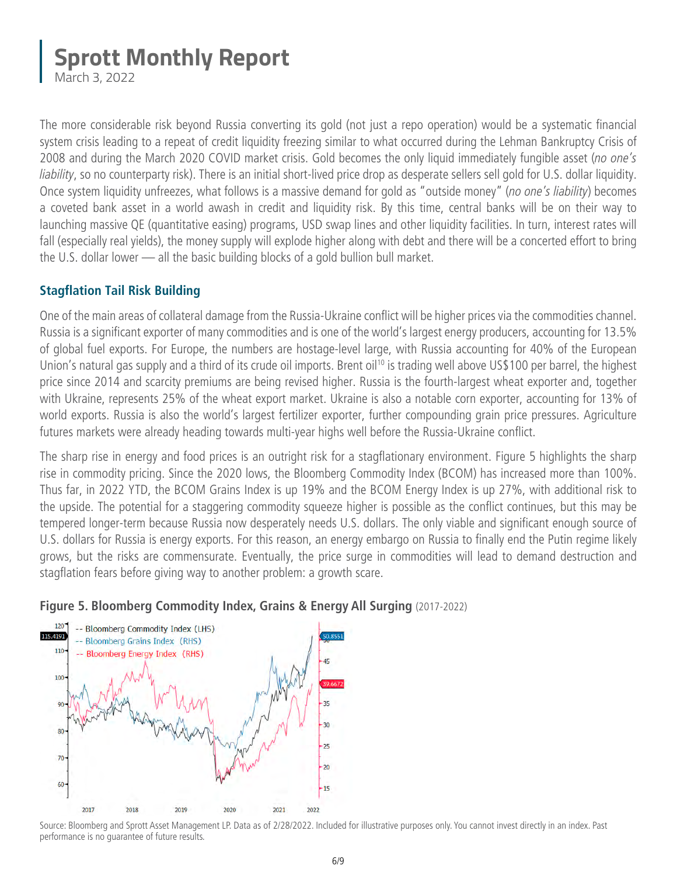March 3, 2022

The more considerable risk beyond Russia converting its gold (not just a repo operation) would be a systematic financial system crisis leading to a repeat of credit liquidity freezing similar to what occurred during the Lehman Bankruptcy Crisis of 2008 and during the March 2020 COVID market crisis. Gold becomes the only liquid immediately fungible asset (*no one's liability*, so no counterparty risk). There is an initial short-lived price drop as desperate sellers sell gold for U.S. dollar liquidity. Once system liquidity unfreezes, what follows is a massive demand for gold as "outside money" (*no one's liability*) becomes a coveted bank asset in a world awash in credit and liquidity risk. By this time, central banks will be on their way to launching massive QE (quantitative easing) programs, USD swap lines and other liquidity facilities. In turn, interest rates will fall (especially real yields), the money supply will explode higher along with debt and there will be a concerted effort to bring the U.S. dollar lower — all the basic building blocks of a gold bullion bull market.

#### **Stagflation Tail Risk Building**

One of the main areas of collateral damage from the Russia-Ukraine conflict will be higher prices via the commodities channel. Russia is a significant exporter of many commodities and is one of the world's largest energy producers, accounting for 13.5% of global fuel exports. For Europe, the numbers are hostage-level large, with Russia accounting for 40% of the European Union's natural gas supply and a third of its crude oil imports. Brent oil<sup>10</sup> is trading well above US\$100 per barrel, the highest price since 2014 and scarcity premiums are being revised higher. Russia is the fourth-largest wheat exporter and, together with Ukraine, represents 25% of the wheat export market. Ukraine is also a notable corn exporter, accounting for 13% of world exports. Russia is also the world's largest fertilizer exporter, further compounding grain price pressures. Agriculture futures markets were already heading towards multi-year highs well before the Russia-Ukraine conflict.

The sharp rise in energy and food prices is an outright risk for a stagflationary environment. Figure 5 highlights the sharp rise in commodity pricing. Since the 2020 lows, the Bloomberg Commodity Index (BCOM) has increased more than 100%. Thus far, in 2022 YTD, the BCOM Grains Index is up 19% and the BCOM Energy Index is up 27%, with additional risk to the upside. The potential for a staggering commodity squeeze higher is possible as the conflict continues, but this may be tempered longer-term because Russia now desperately needs U.S. dollars. The only viable and significant enough source of U.S. dollars for Russia is energy exports. For this reason, an energy embargo on Russia to finally end the Putin regime likely grows, but the risks are commensurate. Eventually, the price surge in commodities will lead to demand destruction and stagflation fears before giving way to another problem: a growth scare.



#### **Figure 5. Bloomberg Commodity Index, Grains & Energy All Surging** (2017-2022)

Source: Bloomberg and Sprott Asset Management LP. Data as of 2/28/2022. Included for illustrative purposes only. You cannot invest directly in an index. Past performance is no guarantee of future results.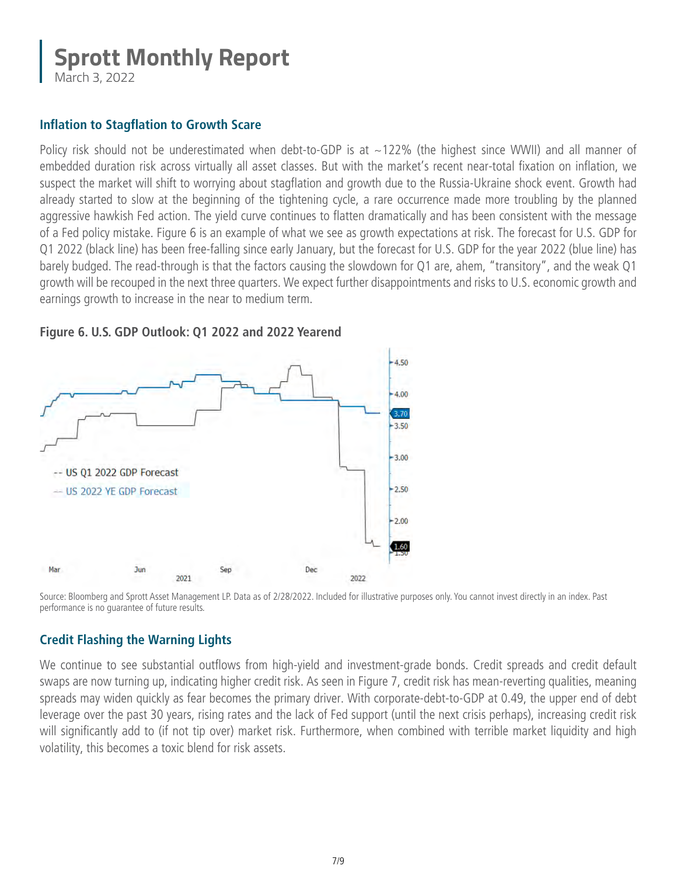March 3, 2022

#### **Inflation to Stagflation to Growth Scare**

Policy risk should not be underestimated when debt-to-GDP is at  $\sim$ 122% (the highest since WWII) and all manner of embedded duration risk across virtually all asset classes. But with the market's recent near-total fixation on inflation, we suspect the market will shift to worrying about stagflation and growth due to the Russia-Ukraine shock event. Growth had already started to slow at the beginning of the tightening cycle, a rare occurrence made more troubling by the planned aggressive hawkish Fed action. The yield curve continues to flatten dramatically and has been consistent with the message of a Fed policy mistake. Figure 6 is an example of what we see as growth expectations at risk. The forecast for U.S. GDP for Q1 2022 (black line) has been free-falling since early January, but the forecast for U.S. GDP for the year 2022 (blue line) has barely budged. The read-through is that the factors causing the slowdown for Q1 are, ahem, "transitory", and the weak Q1 growth will be recouped in the next three quarters. We expect further disappointments and risks to U.S. economic growth and earnings growth to increase in the near to medium term.



**Figure 6. U.S. GDP Outlook: Q1 2022 and 2022 Yearend**

Source: Bloomberg and Sprott Asset Management LP. Data as of 2/28/2022. Included for illustrative purposes only. You cannot invest directly in an index. Past performance is no guarantee of future results.

#### **Credit Flashing the Warning Lights**

We continue to see substantial outflows from high-yield and investment-grade bonds. Credit spreads and credit default swaps are now turning up, indicating higher credit risk. As seen in Figure 7, credit risk has mean-reverting qualities, meaning spreads may widen quickly as fear becomes the primary driver. With corporate-debt-to-GDP at 0.49, the upper end of debt leverage over the past 30 years, rising rates and the lack of Fed support (until the next crisis perhaps), increasing credit risk will significantly add to (if not tip over) market risk. Furthermore, when combined with terrible market liquidity and high volatility, this becomes a toxic blend for risk assets.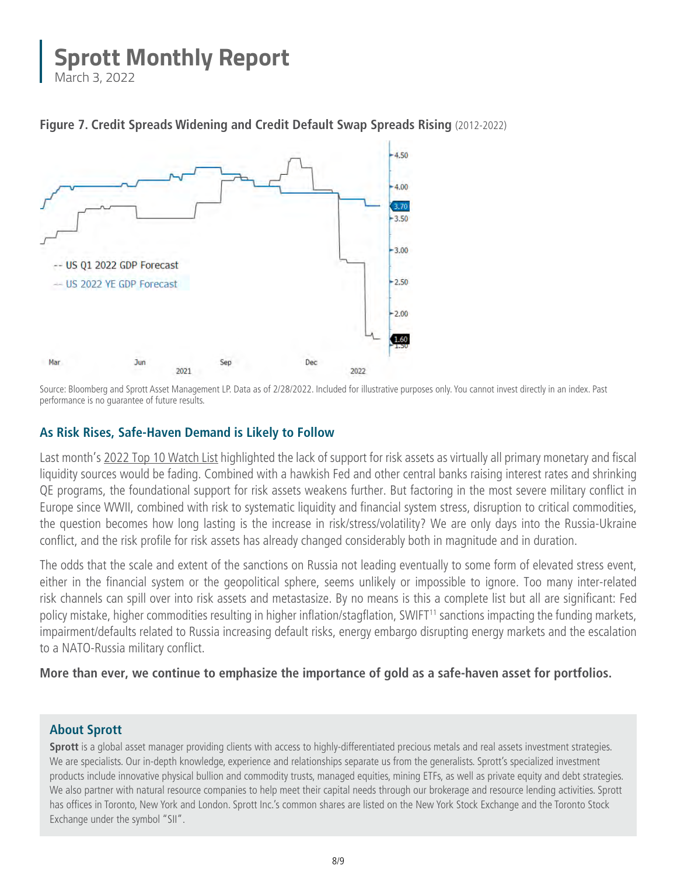March 3, 2022



**Figure 7. Credit Spreads Widening and Credit Default Swap Spreads Rising** (2012-2022)

Source: Bloomberg and Sprott Asset Management LP. Data as of 2/28/2022. Included for illustrative purposes only. You cannot invest directly in an index. Past performance is no guarantee of future results.

#### **As Risk Rises, Safe-Haven Demand is Likely to Follow**

Last month'[s 2022 Top 10 Watch List](https://sprott.com/insights/sprott-monthly-report-2022-top-10-watch-list/) highlighted the lack of support for risk assets as virtually all primary monetary and fiscal liquidity sources would be fading. Combined with a hawkish Fed and other central banks raising interest rates and shrinking QE programs, the foundational support for risk assets weakens further. But factoring in the most severe military conflict in Europe since WWII, combined with risk to systematic liquidity and financial system stress, disruption to critical commodities, the question becomes how long lasting is the increase in risk/stress/volatility? We are only days into the Russia-Ukraine conflict, and the risk profile for risk assets has already changed considerably both in magnitude and in duration.

The odds that the scale and extent of the sanctions on Russia not leading eventually to some form of elevated stress event, either in the financial system or the geopolitical sphere, seems unlikely or impossible to ignore. Too many inter-related risk channels can spill over into risk assets and metastasize. By no means is this a complete list but all are significant: Fed policy mistake, higher commodities resulting in higher inflation/stagflation, SWIFT<sup>11</sup> sanctions impacting the funding markets, impairment/defaults related to Russia increasing default risks, energy embargo disrupting energy markets and the escalation to a NATO-Russia military conflict.

**More than ever, we continue to emphasize the importance of gold as a safe-haven asset for portfolios.**

#### **About Sprott**

**Sprott** is a global asset manager providing clients with access to highly-differentiated precious metals and real assets investment strategies. We are specialists. Our in-depth knowledge, experience and relationships separate us from the generalists. Sprott's specialized investment products include innovative physical bullion and commodity trusts, managed equities, mining ETFs, as well as private equity and debt strategies. We also partner with natural resource companies to help meet their capital needs through our brokerage and resource lending activities. Sprott has offices in Toronto, New York and London. Sprott Inc.'s common shares are listed on the New York Stock Exchange and the Toronto Stock Exchange under the symbol "SII".